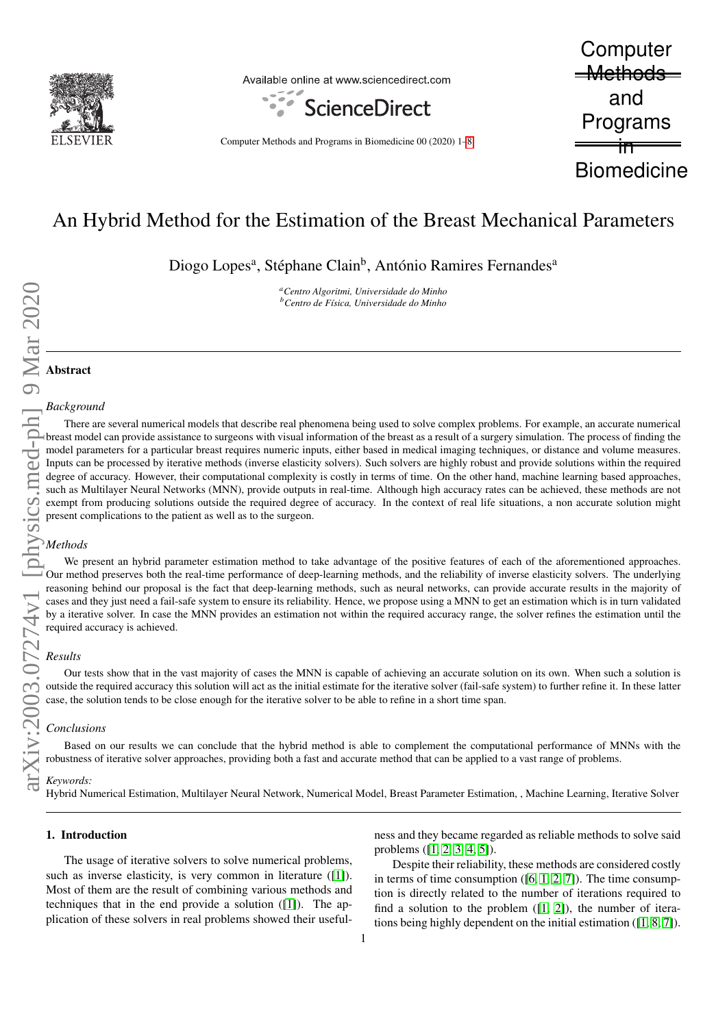

Available online at www.sciencedirect.com



Computer Methods and Programs in Biomedicine 00 (2020) 1[–8](#page-7-0)

**Computer** <del>\_Methods\_</del> and Programs in **Biomedicine** 

# An Hybrid Method for the Estimation of the Breast Mechanical Parameters

Diogo Lopes<sup>a</sup>, Stéphane Clain<sup>b</sup>, António Ramires Fernandes<sup>a</sup>

*<sup>a</sup>Centro Algoritmi, Universidade do Minho <sup>b</sup>Centro de F´ısica, Universidade do Minho*

# Abstract

# *Background*

There are several numerical models that describe real phenomena being used to solve complex problems. For example, an accurate numerical breast model can provide assistance to surgeons with visual information of the breast as a result of a surgery simulation. The process of finding the model parameters for a particular breast requires numeric inputs, either based in medical imaging techniques, or distance and volume measures. Inputs can be processed by iterative methods (inverse elasticity solvers). Such solvers are highly robust and provide solutions within the required degree of accuracy. However, their computational complexity is costly in terms of time. On the other hand, machine learning based approaches, such as Multilayer Neural Networks (MNN), provide outputs in real-time. Although high accuracy rates can be achieved, these methods are not exempt from producing solutions outside the required degree of accuracy. In the context of real life situations, a non accurate solution might present complications to the patient as well as to the surgeon.

# *Methods*

We present an hybrid parameter estimation method to take advantage of the positive features of each of the aforementioned approaches. Our method preserves both the real-time performance of deep-learning methods, and the reliability of inverse elasticity solvers. The underlying reasoning behind our proposal is the fact that deep-learning methods, such as neural networks, can provide accurate results in the majority of cases and they just need a fail-safe system to ensure its reliability. Hence, we propose using a MNN to get an estimation which is in turn validated by a iterative solver. In case the MNN provides an estimation not within the required accuracy range, the solver refines the estimation until the required accuracy is achieved.

# *Results*

Our tests show that in the vast majority of cases the MNN is capable of achieving an accurate solution on its own. When such a solution is outside the required accuracy this solution will act as the initial estimate for the iterative solver (fail-safe system) to further refine it. In these latter case, the solution tends to be close enough for the iterative solver to be able to refine in a short time span.

#### *Conclusions*

Based on our results we can conclude that the hybrid method is able to complement the computational performance of MNNs with the robustness of iterative solver approaches, providing both a fast and accurate method that can be applied to a vast range of problems.

#### *Keywords:*

Hybrid Numerical Estimation, Multilayer Neural Network, Numerical Model, Breast Parameter Estimation, , Machine Learning, Iterative Solver

## 1. Introduction

The usage of iterative solvers to solve numerical problems, such as inverse elasticity, is very common in literature ([\[1\]](#page-7-1)). Most of them are the result of combining various methods and techniques that in the end provide a solution ([\[1\]](#page-7-1)). The application of these solvers in real problems showed their usefulness and they became regarded as reliable methods to solve said problems ([\[1,](#page-7-1) [2,](#page-7-2) [3,](#page-7-3) [4,](#page-7-4) [5\]](#page-7-5)).

Despite their reliability, these methods are considered costly in terms of time consumption  $([6, 1, 2, 7])$  $([6, 1, 2, 7])$  $([6, 1, 2, 7])$  $([6, 1, 2, 7])$  $([6, 1, 2, 7])$  $([6, 1, 2, 7])$ . The time consumption is directly related to the number of iterations required to find a solution to the problem  $(1, 2)$ , the number of iterations being highly dependent on the initial estimation ([\[1,](#page-7-1) [8,](#page-7-8) [7\]](#page-7-7)).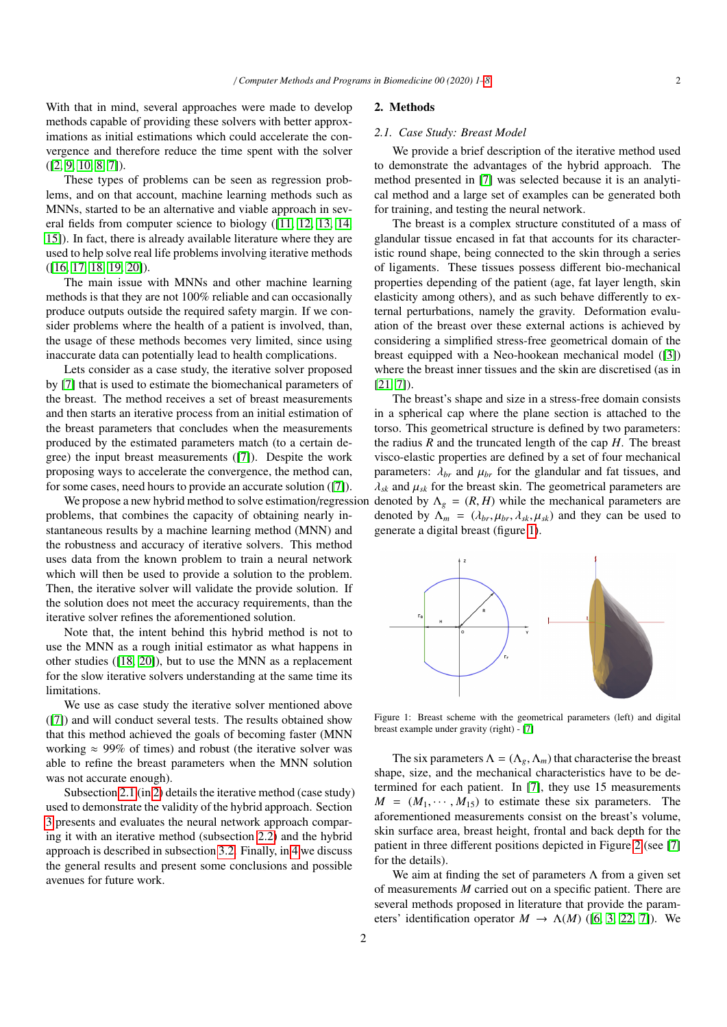With that in mind, several approaches were made to develop methods capable of providing these solvers with better approximations as initial estimations which could accelerate the convergence and therefore reduce the time spent with the solver  $([2, 9, 10, 8, 7])$  $([2, 9, 10, 8, 7])$  $([2, 9, 10, 8, 7])$  $([2, 9, 10, 8, 7])$  $([2, 9, 10, 8, 7])$  $([2, 9, 10, 8, 7])$  $([2, 9, 10, 8, 7])$ .

These types of problems can be seen as regression problems, and on that account, machine learning methods such as MNNs, started to be an alternative and viable approach in several fields from computer science to biology ([\[11,](#page-7-11) [12,](#page-7-12) [13,](#page-7-13) [14,](#page-7-14) [15\]](#page-7-15)). In fact, there is already available literature where they are used to help solve real life problems involving iterative methods ([\[16,](#page-7-16) [17,](#page-7-17) [18,](#page-7-18) [19,](#page-7-19) [20\]](#page-7-20)).

The main issue with MNNs and other machine learning methods is that they are not 100% reliable and can occasionally produce outputs outside the required safety margin. If we consider problems where the health of a patient is involved, than, the usage of these methods becomes very limited, since using inaccurate data can potentially lead to health complications.

Lets consider as a case study, the iterative solver proposed by [\[7\]](#page-7-7) that is used to estimate the biomechanical parameters of the breast. The method receives a set of breast measurements and then starts an iterative process from an initial estimation of the breast parameters that concludes when the measurements produced by the estimated parameters match (to a certain degree) the input breast measurements ([\[7\]](#page-7-7)). Despite the work proposing ways to accelerate the convergence, the method can, for some cases, need hours to provide an accurate solution ([\[7\]](#page-7-7)).

problems, that combines the capacity of obtaining nearly instantaneous results by a machine learning method (MNN) and the robustness and accuracy of iterative solvers. This method uses data from the known problem to train a neural network which will then be used to provide a solution to the problem. Then, the iterative solver will validate the provide solution. If the solution does not meet the accuracy requirements, than the iterative solver refines the aforementioned solution.

Note that, the intent behind this hybrid method is not to use the MNN as a rough initial estimator as what happens in other studies ([\[18,](#page-7-18) [20\]](#page-7-20)), but to use the MNN as a replacement for the slow iterative solvers understanding at the same time its limitations.

We use as case study the iterative solver mentioned above ([\[7\]](#page-7-7)) and will conduct several tests. The results obtained show that this method achieved the goals of becoming faster (MNN working  $\approx 99\%$  of times) and robust (the iterative solver was able to refine the breast parameters when the MNN solution was not accurate enough).

Subsection [2.1](#page-1-0) (in [2\)](#page-1-1) details the iterative method (case study) used to demonstrate the validity of the hybrid approach. Section [3](#page-3-0) presents and evaluates the neural network approach comparing it with an iterative method (subsection [2.2\)](#page-2-0) and the hybrid approach is described in subsection [3.2.](#page-5-0) Finally, in [4](#page-6-0) we discuss the general results and present some conclusions and possible avenues for future work.

#### <span id="page-1-1"></span>2. Methods

#### <span id="page-1-0"></span>*2.1. Case Study: Breast Model*

We provide a brief description of the iterative method used to demonstrate the advantages of the hybrid approach. The method presented in [\[7\]](#page-7-7) was selected because it is an analytical method and a large set of examples can be generated both for training, and testing the neural network.

The breast is a complex structure constituted of a mass of glandular tissue encased in fat that accounts for its characteristic round shape, being connected to the skin through a series of ligaments. These tissues possess different bio-mechanical properties depending of the patient (age, fat layer length, skin elasticity among others), and as such behave differently to external perturbations, namely the gravity. Deformation evaluation of the breast over these external actions is achieved by considering a simplified stress-free geometrical domain of the breast equipped with a Neo-hookean mechanical model ([\[3\]](#page-7-3)) where the breast inner tissues and the skin are discretised (as in  $[21, 7]$  $[21, 7]$ ).

We propose a new hybrid method to solve estimation/regression denoted by  $\Lambda_g = (R, H)$  while the mechanical parameters are<br>plems, that combines the capacity of obtaining nearly in-<br>denoted by  $\Lambda_g = (\lambda_g, \mu_g, \lambda_g, \mu_g)$  and they The breast's shape and size in a stress-free domain consists in a spherical cap where the plane section is attached to the torso. This geometrical structure is defined by two parameters: the radius  $R$  and the truncated length of the cap  $H$ . The breast visco-elastic properties are defined by a set of four mechanical parameters:  $\lambda_{br}$  and  $\mu_{br}$  for the glandular and fat tissues, and  $\lambda_{sk}$  and  $\mu_{sk}$  for the breast skin. The geometrical parameters are denoted by  $\Lambda_m = (\lambda_{br}, \mu_{br}, \lambda_{sk}, \mu_{sk})$  and they can be used to generate a digital breast (figure [1\)](#page-1-2).

<span id="page-1-2"></span>

Figure 1: Breast scheme with the geometrical parameters (left) and digital breast example under gravity (right) - [\[7\]](#page-7-7)

The six parameters  $\Lambda = (\Lambda_g, \Lambda_m)$  that characterise the breast shape, size, and the mechanical characteristics have to be determined for each patient. In [\[7\]](#page-7-7), they use 15 measurements  $M = (M_1, \dots, M_{15})$  to estimate these six parameters. The aforementioned measurements consist on the breast's volume, skin surface area, breast height, frontal and back depth for the patient in three different positions depicted in Figure [2](#page-2-1) (see [\[7\]](#page-7-7) for the details).

We aim at finding the set of parameters  $\Lambda$  from a given set of measurements *M* carried out on a specific patient. There are several methods proposed in literature that provide the parameters' identification operator  $M \to \Lambda(M)$  ([\[6,](#page-7-6) [3,](#page-7-3) [22,](#page-7-22) [7\]](#page-7-7)). We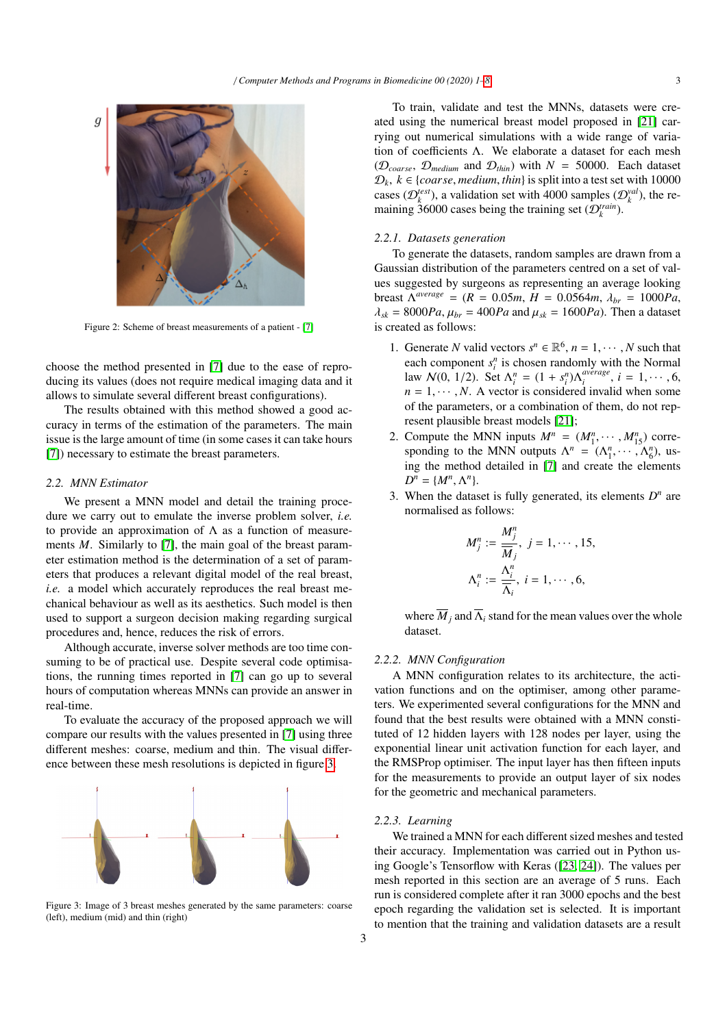<span id="page-2-1"></span>

Figure 2: Scheme of breast measurements of a patient - [\[7\]](#page-7-7)

choose the method presented in [\[7\]](#page-7-7) due to the ease of reproducing its values (does not require medical imaging data and it allows to simulate several different breast configurations).

The results obtained with this method showed a good accuracy in terms of the estimation of the parameters. The main issue is the large amount of time (in some cases it can take hours [\[7\]](#page-7-7)) necessary to estimate the breast parameters.

## <span id="page-2-0"></span>*2.2. MNN Estimator*

We present a MNN model and detail the training procedure we carry out to emulate the inverse problem solver, *i.e.* to provide an approximation of  $\Lambda$  as a function of measurements *M*. Similarly to [\[7\]](#page-7-7), the main goal of the breast parameter estimation method is the determination of a set of parameters that produces a relevant digital model of the real breast, *i.e.* a model which accurately reproduces the real breast mechanical behaviour as well as its aesthetics. Such model is then used to support a surgeon decision making regarding surgical procedures and, hence, reduces the risk of errors.

Although accurate, inverse solver methods are too time consuming to be of practical use. Despite several code optimisations, the running times reported in [\[7\]](#page-7-7) can go up to several hours of computation whereas MNNs can provide an answer in real-time.

To evaluate the accuracy of the proposed approach we will compare our results with the values presented in [\[7\]](#page-7-7) using three different meshes: coarse, medium and thin. The visual difference between these mesh resolutions is depicted in figure [3.](#page-2-2)

<span id="page-2-2"></span>

Figure 3: Image of 3 breast meshes generated by the same parameters: coarse (left), medium (mid) and thin (right)

To train, validate and test the MNNs, datasets were created using the numerical breast model proposed in [\[21\]](#page-7-21) carrying out numerical simulations with a wide range of variation of coefficients Λ. We elaborate a dataset for each mesh ( $\mathcal{D}_{coarse}$ ,  $\mathcal{D}_{medium}$  and  $\mathcal{D}_{thin}$ ) with  $N = 50000$ . Each dataset  $D_k$ ,  $k \in \{coarse, medium, thin\}$  is split into a test set with 10000 cases ( $\mathcal{D}_k^{test}$ ), a validation set with 4000 samples ( $\mathcal{D}_k^{val}$ ), the remaining  $\tilde{36000}$  cases being the training set  $(\mathcal{D}_k^{train})$ .

#### *2.2.1. Datasets generation*

To generate the datasets, random samples are drawn from a Gaussian distribution of the parameters centred on a set of values suggested by surgeons as representing an average looking breast  $\Lambda^{average} = (R = 0.05m, H = 0.0564m, \lambda_{br} = 1000Pa,$ <br> $\lambda_L = 8000Pa, \mu_L = 400Pa$  and  $\mu_L = 1600Pa$ . Then a dataset  $\lambda_{sk}$  = 8000*Pa*,  $\mu_{br}$  = 400*Pa* and  $\mu_{sk}$  = 1600*Pa*). Then a dataset is created as follows:

- 1. Generate *N* valid vectors  $s^n \in \mathbb{R}^6$ ,  $n = 1, \dots, N$  such that each component  $s^n$  is chosen randomly with the Normal each component  $s_i^n$  is chosen randomly with the Normal law  $N(0, 1/2)$ . Set  $\Lambda_i^n = (1 + s_i^n) \Lambda_i^{average}$ <br>*n* = 1 ... N A vector is considered inva  $i_i^{average}$ ,  $i = 1, \cdots, 6,$ <br>d invalid when some  $n = 1, \dots, N$ . A vector is considered invalid when some of the parameters, or a combination of them, do not represent plausible breast models [\[21\]](#page-7-21);
- 2. Compute the MNN inputs  $M^n = (M_1^n, \dots, M_{15}^n)$  corresponding to the MNN outputs  $A^n = (A_1^n, \dots, A_n^n)$  ussponding to the MNN outputs  $\Lambda^n = (\Lambda_1^n, \cdots, \Lambda_6^n)$ , us-<br>ing the method detailed in [7] and create the elements ing the method detailed in [\[7\]](#page-7-7) and create the elements  $D^n = \{M^n, \Lambda^n\}.$ <br>When the detail
- 3. When the dataset is fully generated, its elements  $D^n$  are normalised as follows:

$$
M_j^n := \frac{M_j^n}{\overline{M}_j}, \ j = 1, \cdots, 15,
$$
  

$$
\Lambda_i^n := \frac{\Lambda_i^n}{\overline{\Lambda}_i}, \ i = 1, \cdots, 6,
$$

where  $\overline{M}_i$  and  $\overline{\Lambda}_i$  stand for the mean values over the whole dataset.

## *2.2.2. MNN Configuration*

A MNN configuration relates to its architecture, the activation functions and on the optimiser, among other parameters. We experimented several configurations for the MNN and found that the best results were obtained with a MNN constituted of 12 hidden layers with 128 nodes per layer, using the exponential linear unit activation function for each layer, and the RMSProp optimiser. The input layer has then fifteen inputs for the measurements to provide an output layer of six nodes for the geometric and mechanical parameters.

## <span id="page-2-3"></span>*2.2.3. Learning*

We trained a MNN for each different sized meshes and tested their accuracy. Implementation was carried out in Python using Google's Tensorflow with Keras ([\[23,](#page-7-23) [24\]](#page-7-24)). The values per mesh reported in this section are an average of 5 runs. Each run is considered complete after it ran 3000 epochs and the best epoch regarding the validation set is selected. It is important to mention that the training and validation datasets are a result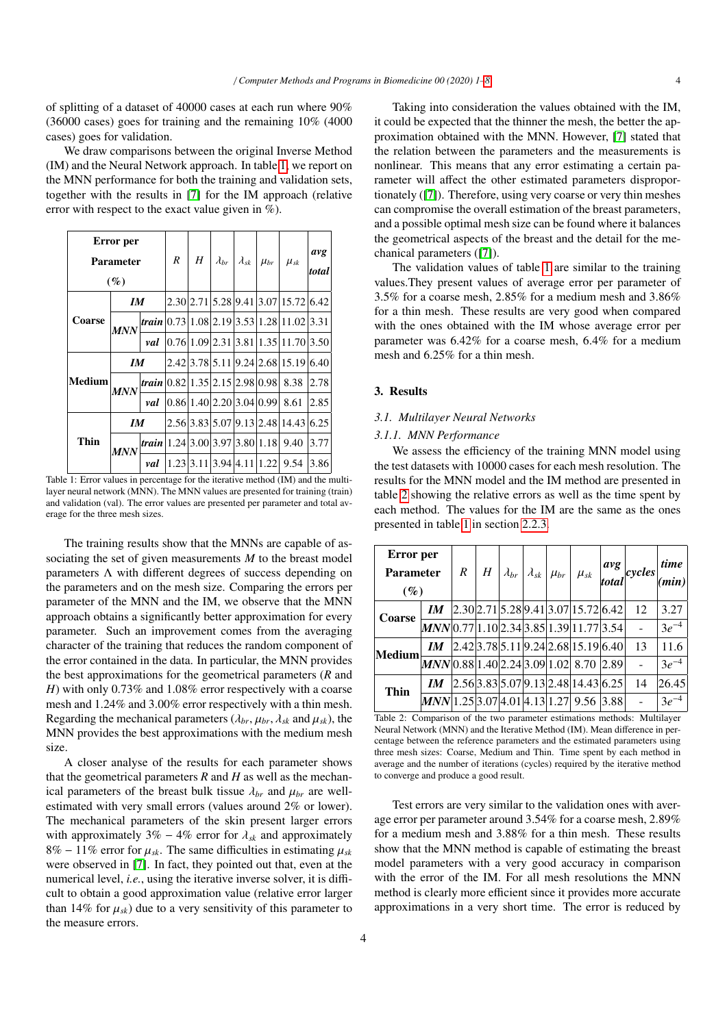of splitting of a dataset of 40000 cases at each run where 90% (36000 cases) goes for training and the remaining 10% (4000 cases) goes for validation.

We draw comparisons between the original Inverse Method (IM) and the Neural Network approach. In table [1,](#page-3-1) we report on the MNN performance for both the training and validation sets, together with the results in [\[7\]](#page-7-7) for the IM approach (relative error with respect to the exact value given in %).

<span id="page-3-1"></span>

| Error per<br><b>Parameter</b><br>(%) |            | R                                               | $H \mid$                 |  | $\mid \lambda_{br} \mid \lambda_{sk} \mid \mu_{br} \mid \mu_{sk}$ |  | avg<br>total                                        |      |
|--------------------------------------|------------|-------------------------------------------------|--------------------------|--|-------------------------------------------------------------------|--|-----------------------------------------------------|------|
|                                      | IМ         |                                                 |                          |  |                                                                   |  | 2.30 2.71 5.28 9.41 3.07 15.72 6.42                 |      |
| <b>Coarse</b>                        | <b>MNN</b> |                                                 |                          |  |                                                                   |  | <i>train</i> $ 0.73 1.08 2.19 3.53 1.28 11.02 3.31$ |      |
|                                      |            | val                                             |                          |  |                                                                   |  | 0.76 1.09 2.31 3.81 1.35 11.70 3.50                 |      |
|                                      | IМ         |                                                 |                          |  |                                                                   |  | 2.42 3.78 5.11 9.24 2.68 15.19 6.40                 |      |
| <b>Medium</b>                        | MNN        | <i>train</i>   0.82   1.35   2.15   2.98   0.98 |                          |  |                                                                   |  | 8.38                                                | 2.78 |
|                                      |            | val                                             | 0.86 1.40 2.20 3.04 0.99 |  |                                                                   |  | 8.61                                                | 2.85 |
|                                      | IМ         |                                                 |                          |  |                                                                   |  | 2.56 3.83 5.07 9.13 2.48 14.43                      | 6.25 |
| Thin                                 | <b>MNN</b> |                                                 |                          |  |                                                                   |  | <i>train</i> 1.2413.0013.9713.8011.181 9.40         | 3.77 |
|                                      |            | val                                             |                          |  |                                                                   |  | 1.23 3.11 3.94 4.11 1.22 9.54                       | 3.86 |

Table 1: Error values in percentage for the iterative method (IM) and the multilayer neural network (MNN). The MNN values are presented for training (train) and validation (val). The error values are presented per parameter and total average for the three mesh sizes.

The training results show that the MNNs are capable of associating the set of given measurements *M* to the breast model parameters Λ with different degrees of success depending on the parameters and on the mesh size. Comparing the errors per parameter of the MNN and the IM, we observe that the MNN approach obtains a significantly better approximation for every parameter. Such an improvement comes from the averaging character of the training that reduces the random component of the error contained in the data. In particular, the MNN provides the best approximations for the geometrical parameters (*R* and *H*) with only 0.73% and 1.08% error respectively with a coarse mesh and 1.24% and 3.00% error respectively with a thin mesh. Regarding the mechanical parameters ( $\lambda_{br}$ ,  $\mu_{br}$ ,  $\lambda_{sk}$  and  $\mu_{sk}$ ), the MNN provides the best approximations with the medium mesh size.

A closer analyse of the results for each parameter shows that the geometrical parameters  $R$  and  $H$  as well as the mechanical parameters of the breast bulk tissue  $\lambda_{br}$  and  $\mu_{br}$  are wellestimated with very small errors (values around 2% or lower). The mechanical parameters of the skin present larger errors with approximately  $3\% - 4\%$  error for  $\lambda_{sk}$  and approximately 8% – 11% error for  $\mu_{sk}$ . The same difficulties in estimating  $\mu_{sk}$ were observed in [\[7\]](#page-7-7). In fact, they pointed out that, even at the numerical level, *i.e.*, using the iterative inverse solver, it is difficult to obtain a good approximation value (relative error larger than 14% for  $\mu_{sk}$ ) due to a very sensitivity of this parameter to the measure errors.

Taking into consideration the values obtained with the IM, it could be expected that the thinner the mesh, the better the approximation obtained with the MNN. However, [\[7\]](#page-7-7) stated that the relation between the parameters and the measurements is nonlinear. This means that any error estimating a certain parameter will affect the other estimated parameters disproportionately ([\[7\]](#page-7-7)). Therefore, using very coarse or very thin meshes can compromise the overall estimation of the breast parameters, and a possible optimal mesh size can be found where it balances the geometrical aspects of the breast and the detail for the mechanical parameters ([\[7\]](#page-7-7)).

The validation values of table [1](#page-3-1) are similar to the training values.They present values of average error per parameter of <sup>3</sup>.5% for a coarse mesh, 2.85% for a medium mesh and 3.86% for a thin mesh. These results are very good when compared with the ones obtained with the IM whose average error per parameter was 6.42% for a coarse mesh, 6.4% for a medium mesh and 6.25% for a thin mesh.

## <span id="page-3-0"></span>3. Results

## *3.1. Multilayer Neural Networks*

## <span id="page-3-3"></span>*3.1.1. MNN Performance*

We assess the efficiency of the training MNN model using the test datasets with 10000 cases for each mesh resolution. The results for the MNN model and the IM method are presented in table [2](#page-3-2) showing the relative errors as well as the time spent by each method. The values for the IM are the same as the ones presented in table [1](#page-3-1) in section [2.2.3.](#page-2-3)

<span id="page-3-2"></span>

| Error per<br><b>Parameter</b><br>$(\%)$ |                                            | $\boldsymbol{R}$ |  |  |                                     | $H\left[\left.\lambda_{br}\right \left.\lambda_{sk}\right \mu_{br}\right]\mu_{sk}$ $\left \left.\mu_{sk}\right \right.\left \left.\mu_{sk}\right \right $ $\left \left.\mu_{\text{total}}\right \right $ cycles | time<br>min) |
|-----------------------------------------|--------------------------------------------|------------------|--|--|-------------------------------------|-----------------------------------------------------------------------------------------------------------------------------------------------------------------------------------------------------------------|--------------|
| Coarse                                  | $\bm{I} \bm{M}$                            |                  |  |  | 2.30 2.71 5.28 9.41 3.07 15.72 6.42 | 12                                                                                                                                                                                                              | 3.27         |
|                                         | $MNN 0.77 1.10 2.34 3.85 1.39 11.77 3.54 $ |                  |  |  |                                     |                                                                                                                                                                                                                 | $3e^{-4}$    |
| Medium                                  | $\bm{I} \bm{M}$                            |                  |  |  | 2.42 3.78 5.11 9.24 2.68 15.19 6.40 | 13                                                                                                                                                                                                              | 11.6         |
|                                         | MNN 0.88 1.40 2.24 3.09 1.02 8.70 2.89     |                  |  |  |                                     |                                                                                                                                                                                                                 | $3e^{-4}$    |
| Thin                                    | $\bm{I} \bm{M}$                            |                  |  |  | 2.56 3.83 5.07 9.13 2.48 14.43 6.25 | 14                                                                                                                                                                                                              | 26.45        |
|                                         | MNN 1.25 3.07 4.01 4.13 1.27 9.56 3.88     |                  |  |  |                                     |                                                                                                                                                                                                                 | $3e^{-4}$    |

Table 2: Comparison of the two parameter estimations methods: Multilayer Neural Network (MNN) and the Iterative Method (IM). Mean difference in percentage between the reference parameters and the estimated parameters using three mesh sizes: Coarse, Medium and Thin. Time spent by each method in average and the number of iterations (cycles) required by the iterative method to converge and produce a good result.

Test errors are very similar to the validation ones with average error per parameter around 3.54% for a coarse mesh, 2.89% for a medium mesh and 3.88% for a thin mesh. These results show that the MNN method is capable of estimating the breast model parameters with a very good accuracy in comparison with the error of the IM. For all mesh resolutions the MNN method is clearly more efficient since it provides more accurate approximations in a very short time. The error is reduced by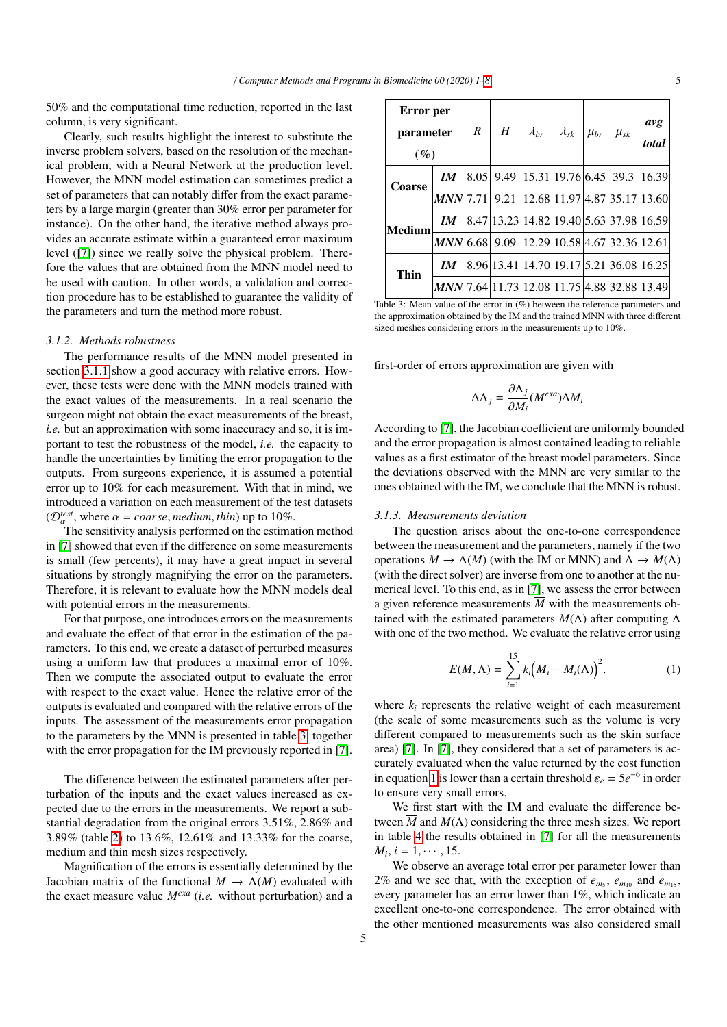50% and the computational time reduction, reported in the last column, is very significant.

Clearly, such results highlight the interest to substitute the inverse problem solvers, based on the resolution of the mechanical problem, with a Neural Network at the production level. However, the MNN model estimation can sometimes predict a set of parameters that can notably differ from the exact parameters by a large margin (greater than 30% error per parameter for instance). On the other hand, the iterative method always provides an accurate estimate within a guaranteed error maximum level ([\[7\]](#page-7-7)) since we really solve the physical problem. Therefore the values that are obtained from the MNN model need to be used with caution. In other words, a validation and correction procedure has to be established to guarantee the validity of the parameters and turn the method more robust.

## *3.1.2. Methods robustness*

The performance results of the MNN model presented in section [3.1.1](#page-3-3) show a good accuracy with relative errors. However, these tests were done with the MNN models trained with the exact values of the measurements. In a real scenario the surgeon might not obtain the exact measurements of the breast, *i.e.* but an approximation with some inaccuracy and so, it is important to test the robustness of the model, *i.e.* the capacity to handle the uncertainties by limiting the error propagation to the outputs. From surgeons experience, it is assumed a potential error up to 10% for each measurement. With that in mind, we introduced a variation on each measurement of the test datasets  $(\mathcal{D}_{\alpha}^{test}, \text{ where } \alpha = coarse, medium, thin) \text{ up to } 10\%.$ <br>The sensitivity analysis performed on the estima

The sensitivity analysis performed on the estimation method in [\[7\]](#page-7-7) showed that even if the difference on some measurements is small (few percents), it may have a great impact in several situations by strongly magnifying the error on the parameters. Therefore, it is relevant to evaluate how the MNN models deal with potential errors in the measurements.

For that purpose, one introduces errors on the measurements and evaluate the effect of that error in the estimation of the parameters. To this end, we create a dataset of perturbed measures using a uniform law that produces a maximal error of 10%. Then we compute the associated output to evaluate the error with respect to the exact value. Hence the relative error of the outputs is evaluated and compared with the relative errors of the inputs. The assessment of the measurements error propagation to the parameters by the MNN is presented in table [3,](#page-4-0) together with the error propagation for the IM previously reported in [\[7\]](#page-7-7).

The difference between the estimated parameters after perturbation of the inputs and the exact values increased as expected due to the errors in the measurements. We report a substantial degradation from the original errors 3.51%, 2.86% and <sup>3</sup>.89% (table [2\)](#page-3-2) to 13.6%, 12.61% and 13.33% for the coarse, medium and thin mesh sizes respectively.

Magnification of the errors is essentially determined by the Jacobian matrix of the functional  $M \to \Lambda(M)$  evaluated with the exact measure value *Mexa* (*i.e.* without perturbation) and a

<span id="page-4-0"></span>

| Error per<br>parameter<br>$(\%)$ |                                             | R | H | $\lambda_{br}$   $\lambda_{sk}$   $\mu_{br}$   $\mu_{sk}$ |                                           | avg<br>total |
|----------------------------------|---------------------------------------------|---|---|-----------------------------------------------------------|-------------------------------------------|--------------|
| <b>Coarse</b>                    | $\bm{I} \bm{M}$                             |   |   |                                                           | 8.05  9.49  15.31 19.76 6.45  39.3  16.39 |              |
|                                  | $MNN$ 7.71   9.21                           |   |   |                                                           | 12.68 11.97 4.87 35.17 13.60              |              |
| Medium                           | $\bm{I} \bm{M}$                             |   |   |                                                           | 8.47 13.23 14.82 19.40 5.63 37.98 16.59   |              |
|                                  | $MNN$ 6.68   9.09                           |   |   |                                                           | 12.29 10.58 4.67 32.36 12.61              |              |
| Thin                             | IM.                                         |   |   |                                                           | 8.96 13.41 14.70 19.17 5.21 36.08 16.25   |              |
|                                  | MNN 7.64 11.73 12.08 11.75 4.88 32.88 13.49 |   |   |                                                           |                                           |              |

Table 3: Mean value of the error in (%) between the reference parameters and the approximation obtained by the IM and the trained MNN with three different sized meshes considering errors in the measurements up to 10%.

first-order of errors approximation are given with

$$
\Delta\Lambda_j = \frac{\partial \Lambda_j}{\partial M_i} (M^{exa}) \Delta M_i
$$

According to [\[7\]](#page-7-7), the Jacobian coefficient are uniformly bounded and the error propagation is almost contained leading to reliable values as a first estimator of the breast model parameters. Since the deviations observed with the MNN are very similar to the ones obtained with the IM, we conclude that the MNN is robust.

#### *3.1.3. Measurements deviation*

The question arises about the one-to-one correspondence between the measurement and the parameters, namely if the two operations  $M \to \Lambda(M)$  (with the IM or MNN) and  $\Lambda \to M(\Lambda)$ (with the direct solver) are inverse from one to another at the numerical level. To this end, as in [\[7\]](#page-7-7), we assess the error between a given reference measurements  $\overline{M}$  with the measurements obtained with the estimated parameters *M*(Λ) after computing Λ with one of the two method. We evaluate the relative error using

<span id="page-4-1"></span>
$$
E(\overline{M}, \Lambda) = \sum_{i=1}^{15} k_i (\overline{M}_i - M_i(\Lambda))^2.
$$
 (1)

where  $k_i$  represents the relative weight of each measurement (the scale of some measurements such as the volume is very different compared to measurements such as the skin surface area) [\[7\]](#page-7-7). In [\[7\]](#page-7-7), they considered that a set of parameters is accurately evaluated when the value returned by the cost function in equation [1](#page-4-1) is lower than a certain threshold  $\varepsilon_e = 5e^{-6}$  in order<br>to ensure very small errors to ensure very small errors.

We first start with the IM and evaluate the difference between  $\overline{M}$  and  $M(\Lambda)$  considering the three mesh sizes. We report in table [4](#page-5-1) the results obtained in [\[7\]](#page-7-7) for all the measurements  $M_i$ ,  $i = 1, \dots, 15$ .<br>We observe an

We observe an average total error per parameter lower than 2% and we see that, with the exception of  $e_{m_5}$ ,  $e_{m_{10}}$  and  $e_{m_{15}}$ , every parameter has an error lower than 1%, which indicate an excellent one-to-one correspondence. The error obtained with the other mentioned measurements was also considered small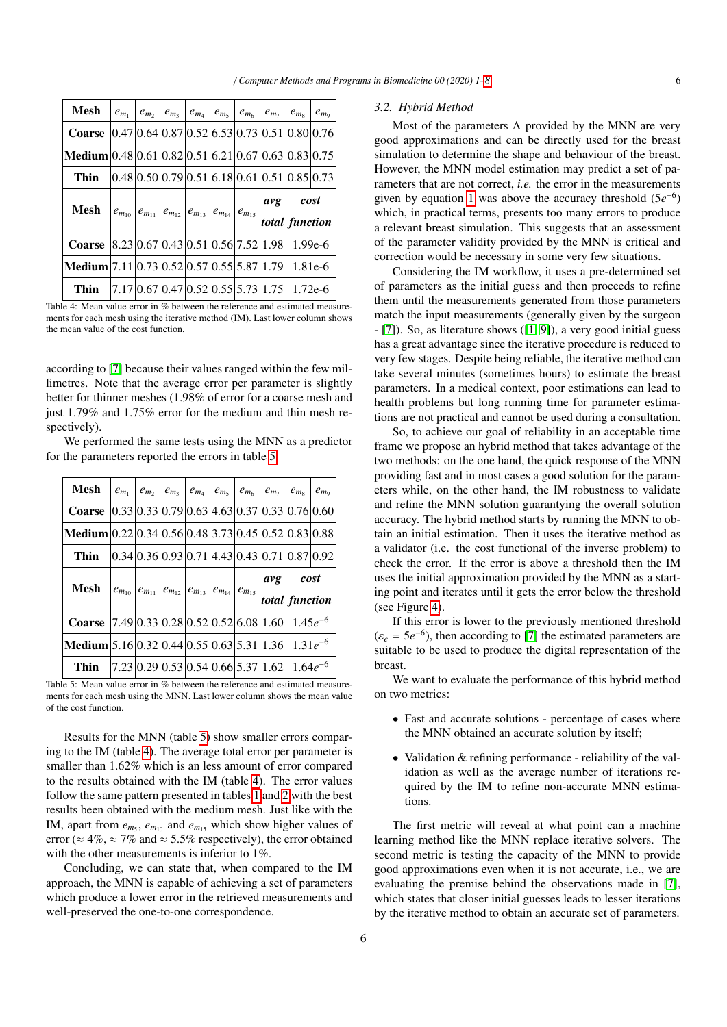<span id="page-5-1"></span>

| Mesh                                                          |  |  |  |  | $ e_{m_1} e_{m_2} e_{m_3} e_{m_4} e_{m_5} e_{m_6} e_{m_7} e_{m_8} e_{m_9} e_{m_9}$                                                              |          |  |  |                |  |  |
|---------------------------------------------------------------|--|--|--|--|-------------------------------------------------------------------------------------------------------------------------------------------------|----------|--|--|----------------|--|--|
| <b>Coarse</b> $ 0.47 0.64 0.87 0.52 6.53 0.73 0.51 0.80 0.76$ |  |  |  |  |                                                                                                                                                 |          |  |  |                |  |  |
| Medium $ 0.48 0.61 0.82 0.51 6.21 0.67 0.63 0.83 0.75$        |  |  |  |  |                                                                                                                                                 |          |  |  |                |  |  |
| Thin                                                          |  |  |  |  | $ 0.48 0.50 0.79 0.51 6.18 0.61 0.51 0.85 0.73$                                                                                                 |          |  |  |                |  |  |
|                                                               |  |  |  |  |                                                                                                                                                 | avg cost |  |  |                |  |  |
|                                                               |  |  |  |  | <b>Mesh</b> $\begin{vmatrix} e_{m_{10}} \ e_{m_{11}} \end{vmatrix} e_{m_{12}} \begin{vmatrix} e_{m_{13}} \ e_{m_{14}} \end{vmatrix} e_{m_{15}}$ |          |  |  | total function |  |  |
| <b>Coarse</b> $ 8.23 0.67 0.43 0.51 0.56 7.52 1.98 1.99e-6$   |  |  |  |  |                                                                                                                                                 |          |  |  |                |  |  |
| Medium $7.11 0.73 0.52 0.57 0.55 5.87 1.79 1.81e-6$           |  |  |  |  |                                                                                                                                                 |          |  |  |                |  |  |
| Thin                                                          |  |  |  |  | $ 7.17 0.67 0.47 0.52 0.55 5.73 1.75 1.72e-6$                                                                                                   |          |  |  |                |  |  |

Table 4: Mean value error in % between the reference and estimated measurements for each mesh using the iterative method (IM). Last lower column shows the mean value of the cost function.

according to [\[7\]](#page-7-7) because their values ranged within the few millimetres. Note that the average error per parameter is slightly better for thinner meshes (1.98% of error for a coarse mesh and just 1.79% and 1.75% error for the medium and thin mesh respectively).

We performed the same tests using the MNN as a predictor for the parameters reported the errors in table [5.](#page-5-2)

<span id="page-5-2"></span>

| Mesh                                                           | $e_{m_1}$ |  |                                                                       |  | $ e_{m_2} e_{m_3} e_{m_4} e_{m_5} e_{m_6} e_{m_7} e_{m_8} $ |                        | $e_{m}$ |
|----------------------------------------------------------------|-----------|--|-----------------------------------------------------------------------|--|-------------------------------------------------------------|------------------------|---------|
| <b>Coarse</b> $ 0.33 0.33 0.79 0.63 4.63 0.37 0.33 0.76 0.60$  |           |  |                                                                       |  |                                                             |                        |         |
| <b>Medium</b> 0.22 0.34 0.56 0.48 3.73 0.45 0.52 0.83 0.88     |           |  |                                                                       |  |                                                             |                        |         |
| Thin                                                           |           |  |                                                                       |  | $ 0.34 0.36 0.93 0.71 4.43 0.43 0.71 0.87 0.92$             |                        |         |
| Mesh                                                           |           |  | $ e_{m_{10}} e_{m_{11}} e_{m_{12}} e_{m_{13}} e_{m_{14}} e_{m_{15}} $ |  | $\alpha v g$                                                | cost<br>total function |         |
| <b>Coarse</b> $ 7.49 0.33 0.28 0.52 0.52 6.08 1.60 1.45e^{-6}$ |           |  |                                                                       |  |                                                             |                        |         |
| <b>Medium</b> $5.16 0.32 0.44 0.55 0.63 5.31 1.36 1.31e^{-6}$  |           |  |                                                                       |  |                                                             |                        |         |
|                                                                |           |  |                                                                       |  | $ 7.23 0.29 0.53 0.54 0.66 5.37 1.62 1.64e^{-6}$            |                        |         |

ments for each mesh using the MNN. Last lower column shows the mean value of the cost function.

Results for the MNN (table [5\)](#page-5-2) show smaller errors comparing to the IM (table [4\)](#page-5-1). The average total error per parameter is smaller than 1.62% which is an less amount of error compared to the results obtained with the IM (table [4\)](#page-5-1). The error values follow the same pattern presented in tables [1](#page-3-1) and [2](#page-3-2) with the best results been obtained with the medium mesh. Just like with the IM, apart from  $e_{m_5}$ ,  $e_{m_{10}}$  and  $e_{m_{15}}$  which show higher values of error ( $\approx 4\%$ ,  $\approx 7\%$  and  $\approx 5.5\%$  respectively), the error obtained with the other measurements is inferior to 1%.

Concluding, we can state that, when compared to the IM approach, the MNN is capable of achieving a set of parameters which produce a lower error in the retrieved measurements and well-preserved the one-to-one correspondence.

#### <span id="page-5-0"></span>*3.2. Hybrid Method*

Most of the parameters  $\Lambda$  provided by the MNN are very good approximations and can be directly used for the breast simulation to determine the shape and behaviour of the breast. However, the MNN model estimation may predict a set of parameters that are not correct, *i.e.* the error in the measurements given by equation [1](#page-4-1) was above the accuracy threshold  $(5e^{-6})$ which, in practical terms, presents too many errors to produce a relevant breast simulation. This suggests that an assessment of the parameter validity provided by the MNN is critical and correction would be necessary in some very few situations.

Considering the IM workflow, it uses a pre-determined set of parameters as the initial guess and then proceeds to refine them until the measurements generated from those parameters match the input measurements (generally given by the surgeon - [\[7\]](#page-7-7)). So, as literature shows ([\[1,](#page-7-1) [9\]](#page-7-9)), a very good initial guess has a great advantage since the iterative procedure is reduced to very few stages. Despite being reliable, the iterative method can take several minutes (sometimes hours) to estimate the breast parameters. In a medical context, poor estimations can lead to health problems but long running time for parameter estimations are not practical and cannot be used during a consultation.

So, to achieve our goal of reliability in an acceptable time frame we propose an hybrid method that takes advantage of the two methods: on the one hand, the quick response of the MNN providing fast and in most cases a good solution for the parameters while, on the other hand, the IM robustness to validate and refine the MNN solution guarantying the overall solution accuracy. The hybrid method starts by running the MNN to obtain an initial estimation. Then it uses the iterative method as a validator (i.e. the cost functional of the inverse problem) to check the error. If the error is above a threshold then the IM uses the initial approximation provided by the MNN as a starting point and iterates until it gets the error below the threshold (see Figure [4\)](#page-6-1).

If this error is lower to the previously mentioned threshold  $(\varepsilon_e = 5e^{-6})$ , then according to [\[7\]](#page-7-7) the estimated parameters are suitable to be used to produce the digital representation of the suitable to be used to produce the digital representation of the breast.

We want to evaluate the performance of this hybrid method on two metrics:

- Fast and accurate solutions percentage of cases where the MNN obtained an accurate solution by itself;
- Validation & refining performance reliability of the validation as well as the average number of iterations required by the IM to refine non-accurate MNN estimations.

The first metric will reveal at what point can a machine learning method like the MNN replace iterative solvers. The second metric is testing the capacity of the MNN to provide good approximations even when it is not accurate, i.e., we are evaluating the premise behind the observations made in [\[7\]](#page-7-7), which states that closer initial guesses leads to lesser iterations by the iterative method to obtain an accurate set of parameters.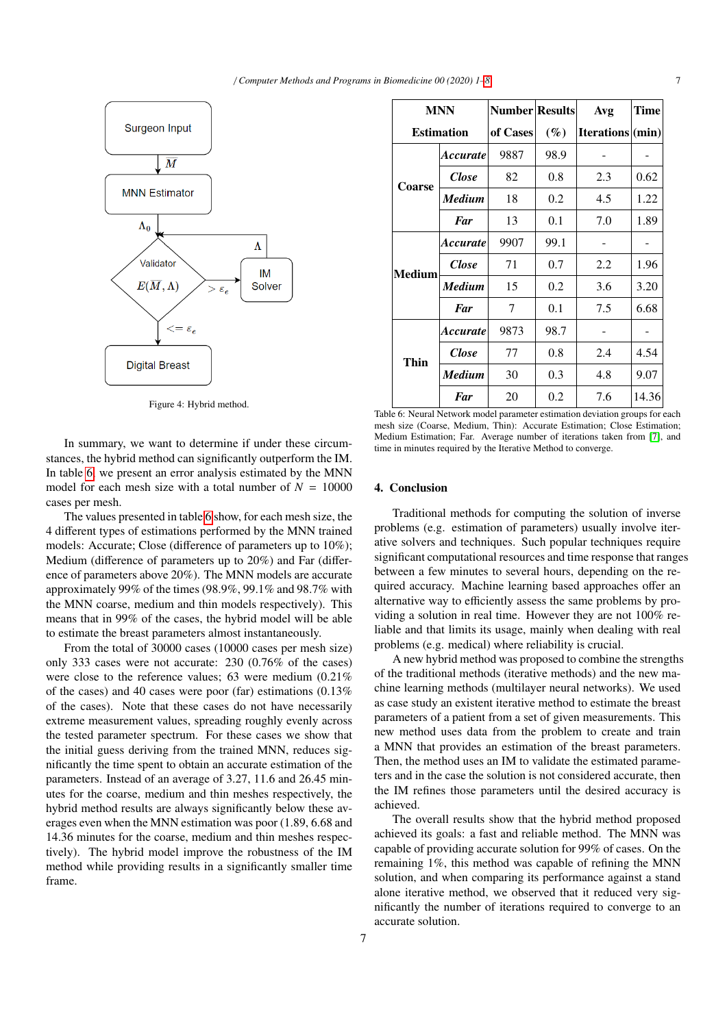<span id="page-6-1"></span>

Figure 4: Hybrid method.

In summary, we want to determine if under these circumstances, the hybrid method can significantly outperform the IM. In table [6,](#page-6-2) we present an error analysis estimated by the MNN model for each mesh size with a total number of  $N = 10000$ cases per mesh.

The values presented in table [6](#page-6-2) show, for each mesh size, the 4 different types of estimations performed by the MNN trained models: Accurate; Close (difference of parameters up to 10%); Medium (difference of parameters up to 20%) and Far (difference of parameters above 20%). The MNN models are accurate approximately 99% of the times (98.9%, 99.1% and 98.7% with the MNN coarse, medium and thin models respectively). This means that in 99% of the cases, the hybrid model will be able to estimate the breast parameters almost instantaneously.

From the total of 30000 cases (10000 cases per mesh size) only 333 cases were not accurate: 230 (0.76% of the cases) were close to the reference values; 63 were medium (0.21% of the cases) and 40 cases were poor (far) estimations (0.13% of the cases). Note that these cases do not have necessarily extreme measurement values, spreading roughly evenly across the tested parameter spectrum. For these cases we show that the initial guess deriving from the trained MNN, reduces significantly the time spent to obtain an accurate estimation of the parameters. Instead of an average of 3.27, 11.6 and 26.45 minutes for the coarse, medium and thin meshes respectively, the hybrid method results are always significantly below these averages even when the MNN estimation was poor (1.89, 6.68 and 14.36 minutes for the coarse, medium and thin meshes respectively). The hybrid model improve the robustness of the IM method while providing results in a significantly smaller time frame.

<span id="page-6-2"></span>

| <b>MNN</b>    |                        | <b>Number Results</b> |        | Avg              | Time  |  |
|---------------|------------------------|-----------------------|--------|------------------|-------|--|
|               | <b>Estimation</b>      | of Cases              | $(\%)$ | Iterations (min) |       |  |
|               | Accurate               | 9887                  | 98.9   |                  |       |  |
| Coarse        | Close                  | 82                    | 0.8    | 2.3              | 0.62  |  |
|               | <b>Medium</b>          | 18                    | 0.2    | 4.5              | 1.22  |  |
|               | Far                    | 13                    | 0.1    | 7.0              | 1.89  |  |
|               | <i><b>Accurate</b></i> | 9907                  | 99.1   |                  |       |  |
| <b>Medium</b> | <b>Close</b>           | 71                    | 0.7    | 2.2              | 1.96  |  |
|               | <b>Medium</b>          | 15                    | 0.2    | 3.6              | 3.20  |  |
|               | Far                    | 7                     | 0.1    | 7.5              | 6.68  |  |
|               | Accurate               | 9873                  | 98.7   |                  |       |  |
| Thin          | <b>Close</b>           | 77                    | 0.8    | 2.4              | 4.54  |  |
|               | Medium                 | 30                    | 0.3    | 4.8              | 9.07  |  |
|               | <b>Far</b>             | 20                    | 0.2    | 7.6              | 14.36 |  |

Table 6: Neural Network model parameter estimation deviation groups for each mesh size (Coarse, Medium, Thin): Accurate Estimation; Close Estimation; Medium Estimation; Far. Average number of iterations taken from [\[7\]](#page-7-7), and time in minutes required by the Iterative Method to converge.

#### <span id="page-6-0"></span>4. Conclusion

Traditional methods for computing the solution of inverse problems (e.g. estimation of parameters) usually involve iterative solvers and techniques. Such popular techniques require significant computational resources and time response that ranges between a few minutes to several hours, depending on the required accuracy. Machine learning based approaches offer an alternative way to efficiently assess the same problems by providing a solution in real time. However they are not 100% reliable and that limits its usage, mainly when dealing with real problems (e.g. medical) where reliability is crucial.

A new hybrid method was proposed to combine the strengths of the traditional methods (iterative methods) and the new machine learning methods (multilayer neural networks). We used as case study an existent iterative method to estimate the breast parameters of a patient from a set of given measurements. This new method uses data from the problem to create and train a MNN that provides an estimation of the breast parameters. Then, the method uses an IM to validate the estimated parameters and in the case the solution is not considered accurate, then the IM refines those parameters until the desired accuracy is achieved.

The overall results show that the hybrid method proposed achieved its goals: a fast and reliable method. The MNN was capable of providing accurate solution for 99% of cases. On the remaining 1%, this method was capable of refining the MNN solution, and when comparing its performance against a stand alone iterative method, we observed that it reduced very significantly the number of iterations required to converge to an accurate solution.